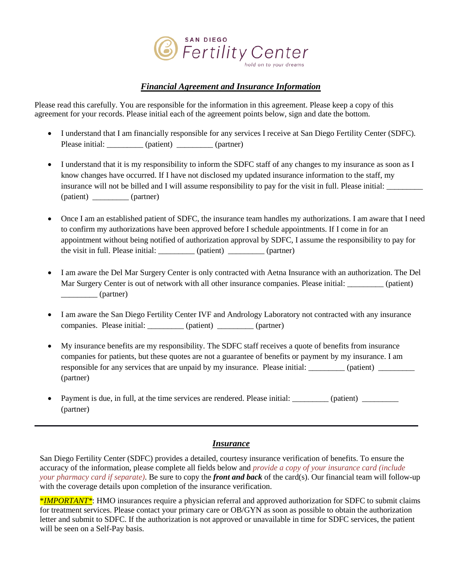

# *Financial Agreement and Insurance Information*

Please read this carefully. You are responsible for the information in this agreement. Please keep a copy of this agreement for your records. Please initial each of the agreement points below, sign and date the bottom.

- I understand that I am financially responsible for any services I receive at San Diego Fertility Center (SDFC). Please initial: \_\_\_\_\_\_\_\_\_\_ (patient) \_\_\_\_\_\_\_\_\_ (partner)
- I understand that it is my responsibility to inform the SDFC staff of any changes to my insurance as soon as I know changes have occurred. If I have not disclosed my updated insurance information to the staff, my insurance will not be billed and I will assume responsibility to pay for the visit in full. Please initial: (patient) \_\_\_\_\_\_\_\_\_ (partner)
- Once I am an established patient of SDFC, the insurance team handles my authorizations. I am aware that I need to confirm my authorizations have been approved before I schedule appointments. If I come in for an appointment without being notified of authorization approval by SDFC, I assume the responsibility to pay for the visit in full. Please initial: \_\_\_\_\_\_\_\_\_ (patient) \_\_\_\_\_\_\_\_\_ (partner)
- I am aware the Del Mar Surgery Center is only contracted with Aetna Insurance with an authorization. The Del Mar Surgery Center is out of network with all other insurance companies. Please initial:  $($ patient)  $\frac{1}{2}$  (partner)
- I am aware the San Diego Fertility Center IVF and Andrology Laboratory not contracted with any insurance companies. Please initial:  $($ patient)  $($ partner)
- My insurance benefits are my responsibility. The SDFC staff receives a quote of benefits from insurance companies for patients, but these quotes are not a guarantee of benefits or payment by my insurance. I am responsible for any services that are unpaid by my insurance. Please initial: \_\_\_\_\_\_\_\_\_ (patient) \_\_\_\_\_\_\_\_\_\_\_ (partner)
- Payment is due, in full, at the time services are rendered. Please initial: \_\_\_\_\_\_\_\_\_ (patient) \_\_\_\_\_\_\_\_\_\_\_\_ (partner)

### *Insurance*

San Diego Fertility Center (SDFC) provides a detailed, courtesy insurance verification of benefits. To ensure the accuracy of the information, please complete all fields below and *provide a copy of your insurance card (include your pharmacy card if separate)*. Be sure to copy the *front and back* of the card(s). Our financial team will follow-up with the coverage details upon completion of the insurance verification.

\**IMPORTANT\**: HMO insurances require a physician referral and approved authorization for SDFC to submit claims for treatment services. Please contact your primary care or OB/GYN as soon as possible to obtain the authorization letter and submit to SDFC. If the authorization is not approved or unavailable in time for SDFC services, the patient will be seen on a Self-Pay basis.